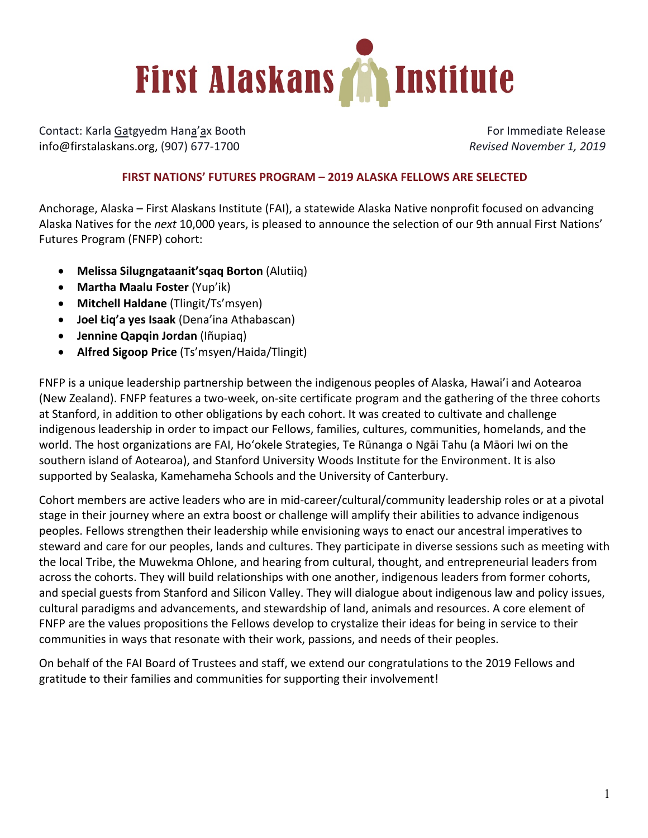

Contact: Karla Gatgyedm Hana'ax Booth For Immediate Release For Immediate Release info@firstalaskans.org, (907) 677-1700 *Revised November 1, 2019*

## **FIRST NATIONS' FUTURES PROGRAM – 2019 ALASKA FELLOWS ARE SELECTED**

Anchorage, Alaska – First Alaskans Institute (FAI), a statewide Alaska Native nonprofit focused on advancing Alaska Natives for the *next* 10,000 years, is pleased to announce the selection of our 9th annual First Nations' Futures Program (FNFP) cohort:

- **Melissa Silugngataanit'sqaq Borton** (Alutiiq)
- **Martha Maalu Foster** (Yup'ik)
- **Mitchell Haldane** (Tlingit/Ts'msyen)
- **Joel Łiq'a yes Isaak** (Dena'ina Athabascan)
- **Jennine Qapqin Jordan** (Iñupiaq)
- **Alfred Sig̱ oop Price** (Ts'msyen/Haida/Tlingit)

FNFP is a unique leadership partnership between the indigenous peoples of Alaska, Hawai'i and Aotearoa (New Zealand). FNFP features a two-week, on-site certificate program and the gathering of the three cohorts at Stanford, in addition to other obligations by each cohort. It was created to cultivate and challenge indigenous leadership in order to impact our Fellows, families, cultures, communities, homelands, and the world. The host organizations are FAI, Hoʻokele Strategies, Te Rūnanga o Ngāi Tahu (a Māori Iwi on the southern island of Aotearoa), and Stanford University Woods Institute for the Environment. It is also supported by Sealaska, Kamehameha Schools and the University of Canterbury.

Cohort members are active leaders who are in mid-career/cultural/community leadership roles or at a pivotal stage in their journey where an extra boost or challenge will amplify their abilities to advance indigenous peoples. Fellows strengthen their leadership while envisioning ways to enact our ancestral imperatives to steward and care for our peoples, lands and cultures. They participate in diverse sessions such as meeting with the local Tribe, the Muwekma Ohlone, and hearing from cultural, thought, and entrepreneurial leaders from across the cohorts. They will build relationships with one another, indigenous leaders from former cohorts, and special guests from Stanford and Silicon Valley. They will dialogue about indigenous law and policy issues, cultural paradigms and advancements, and stewardship of land, animals and resources. A core element of FNFP are the values propositions the Fellows develop to crystalize their ideas for being in service to their communities in ways that resonate with their work, passions, and needs of their peoples.

On behalf of the FAI Board of Trustees and staff, we extend our congratulations to the 2019 Fellows and gratitude to their families and communities for supporting their involvement!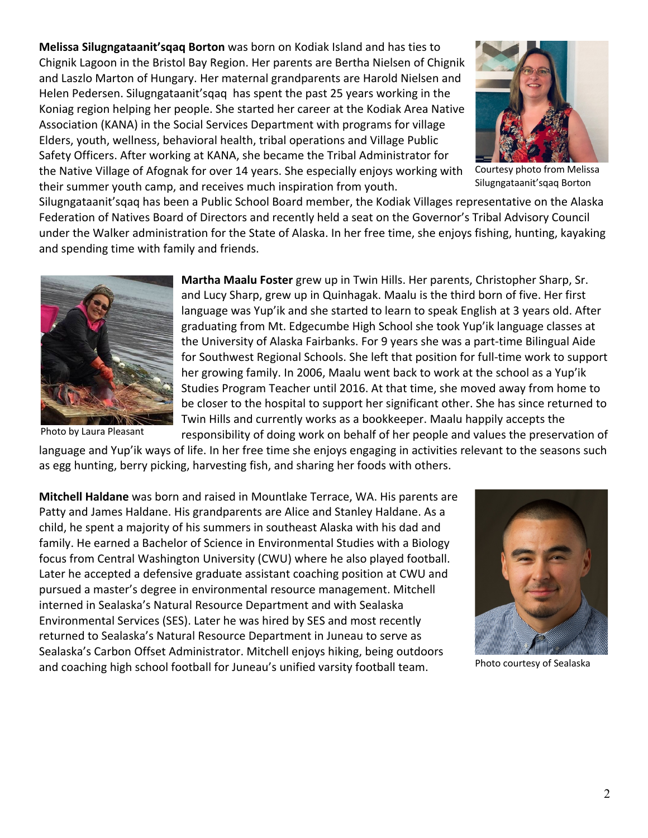**Melissa Silugngataanit'sqaq Borton** was born on Kodiak Island and has ties to Chignik Lagoon in the Bristol Bay Region. Her parents are Bertha Nielsen of Chignik and Laszlo Marton of Hungary. Her maternal grandparents are Harold Nielsen and Helen Pedersen. Silugngataanit'sqaq has spent the past 25 years working in the Koniag region helping her people. She started her career at the Kodiak Area Native Association (KANA) in the Social Services Department with programs for village Elders, youth, wellness, behavioral health, tribal operations and Village Public Safety Officers. After working at KANA, she became the Tribal Administrator for the Native Village of Afognak for over 14 years. She especially enjoys working with their summer youth camp, and receives much inspiration from youth.



Courtesy photo from Melissa Silugngataanit'sqaq Borton

Silugngataanit'sqaq has been a Public School Board member, the Kodiak Villages representative on the Alaska Federation of Natives Board of Directors and recently held a seat on the Governor's Tribal Advisory Council under the Walker administration for the State of Alaska. In her free time, she enjoys fishing, hunting, kayaking and spending time with family and friends.



Photo by Laura Pleasant

**Martha Maalu Foster** grew up in Twin Hills. Her parents, Christopher Sharp, Sr. and Lucy Sharp, grew up in Quinhagak. Maalu is the third born of five. Her first language was Yup'ik and she started to learn to speak English at 3 years old. After graduating from Mt. Edgecumbe High School she took Yup'ik language classes at the University of Alaska Fairbanks. For 9 years she was a part-time Bilingual Aide for Southwest Regional Schools. She left that position for full-time work to support her growing family. In 2006, Maalu went back to work at the school as a Yup'ik Studies Program Teacher until 2016. At that time, she moved away from home to be closer to the hospital to support her significant other. She has since returned to Twin Hills and currently works as a bookkeeper. Maalu happily accepts the responsibility of doing work on behalf of her people and values the preservation of

language and Yup'ik ways of life. In her free time she enjoys engaging in activities relevant to the seasons such as egg hunting, berry picking, harvesting fish, and sharing her foods with others.

**Mitchell Haldane** was born and raised in Mountlake Terrace, WA. His parents are Patty and James Haldane. His grandparents are Alice and Stanley Haldane. As a child, he spent a majority of his summers in southeast Alaska with his dad and family. He earned a Bachelor of Science in Environmental Studies with a Biology focus from Central Washington University (CWU) where he also played football. Later he accepted a defensive graduate assistant coaching position at CWU and pursued a master's degree in environmental resource management. Mitchell interned in Sealaska's Natural Resource Department and with Sealaska Environmental Services (SES). Later he was hired by SES and most recently returned to Sealaska's Natural Resource Department in Juneau to serve as Sealaska's Carbon Offset Administrator. Mitchell enjoys hiking, being outdoors and coaching high school football for Juneau's unified varsity football team.



Photo courtesy of Sealaska